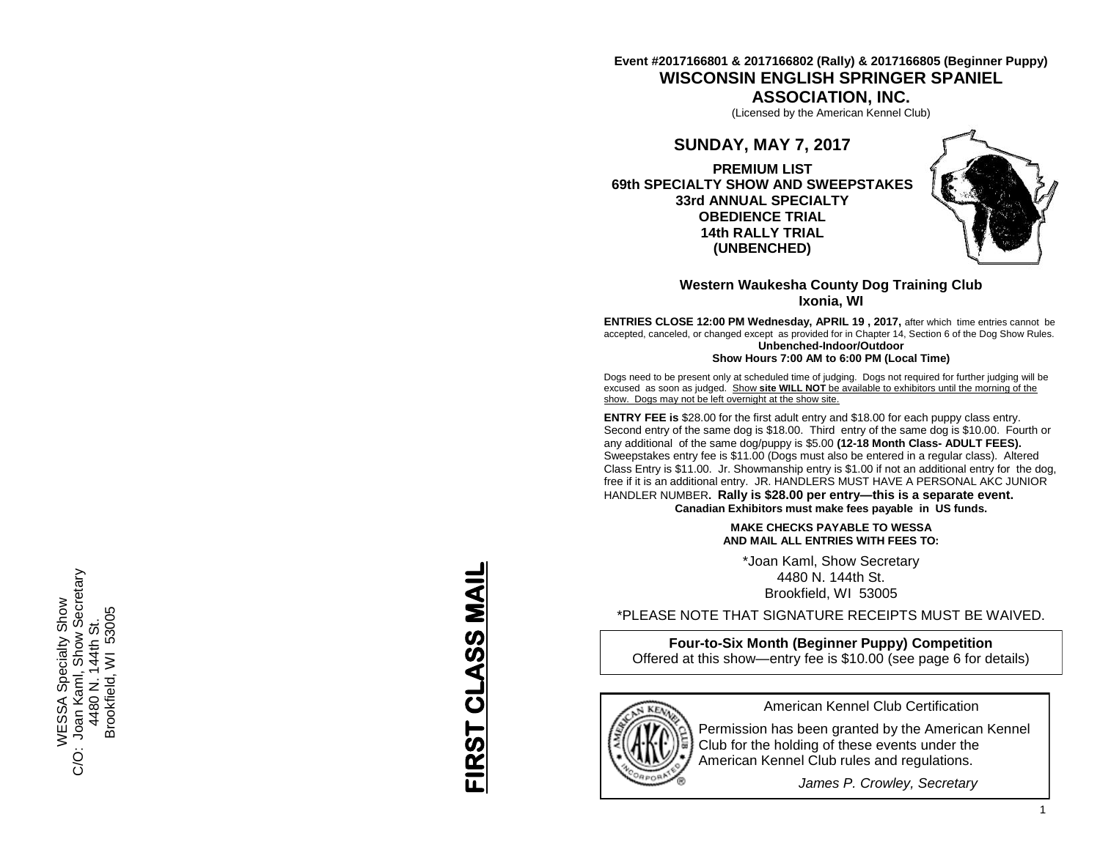# **Event #2017166801 & 2017166802 (Rally) & 2017166805 (Beginner Puppy) WISCONSIN ENGLISH SPRINGER SPANIEL**

**ASSOCIATION, INC.**

(Licensed by the American Kennel Club)

# **SUNDAY, MAY 7, 2017**

**PREMIUM LIST 69th SPECIALTY SHOW AND SWEEPSTAKES 33rd ANNUAL SPECIALTY OBEDIENCE TRIAL 14th RALLY TRIAL (UNBENCHED)**



# **Western Waukesha County Dog Training Club Ixonia, WI**

**ENTRIES CLOSE 12:00 PM Wednesday, APRIL 19 , 2017,** after which time entries cannot be accepted, canceled, or changed except as provided for in Chapter 14, Section 6 of the Dog Show Rules. **Unbenched -Indoor/Outdoor**

**Show Hours 7:00 AM to 6:00 PM (Local Time)**

Dogs need to be present only at scheduled time of judging. Dogs not required for further judging will be excused as soon as judged. Show **site WILL NOT** be available to exhibitors until the morning of the show. Dogs may not be left overnight at the show site.

**ENTRY FEE is** \$28.00 for the first adult entry and \$18.00 for each puppy class entry. Second entry of the same dog is \$18.00. Third entry of the same dog is \$10.00. Fourth or any additional of the same dog/puppy is \$5.00 **(12 -18 Month Class - ADULT FEES).** Sweepstakes entry fee is \$11.00 (Dogs must also be entered in a regular class). Altered Class Entry is \$11.00. Jr. Showmanship entry is \$1.00 if not an additional entry for the dog, free if it is an additional entry. JR. HANDLERS MUST HAVE A PERSONAL AKC JUNIOR HANDLER NUMBER**. Rally is \$28.00 per entry—this is a separate event. Canadian Exhibitors must make fees payable in US funds.**

## **MAKE CHECKS PAYABLE TO WESSA AND MAIL ALL ENTRIES WITH FEES TO:**

\*Joan Kaml, Show Secretary 4480 N. 144th St. Brookfield, WI 53005

\*PLEASE NOTE THAT SIGNATURE RECEIPTS MUST BE WAIVED.

**Four -to -Six Month (Beginner Puppy) Competition** Offered at this show —entry fee is \$10.00 (see page 6 for details)



American Kennel Club Certification

Permission has been granted by the American Kennel Club for the holding of these events under the American Kennel Club rules and regulations.

*James P. Crowley, Secretary*

**FIRST CLASS MAIL** FIRST CLASS MAIL

WESSA Specialty Show<br>Joan Kaml, Show Secretary<br>4480 N. 144th St. C/O: Joan Kaml, Show Secretary 16WESSA Specialty Show Brookfield, WI 53005 Brookfield, WI 53005 4480 N. 144th St. Ö.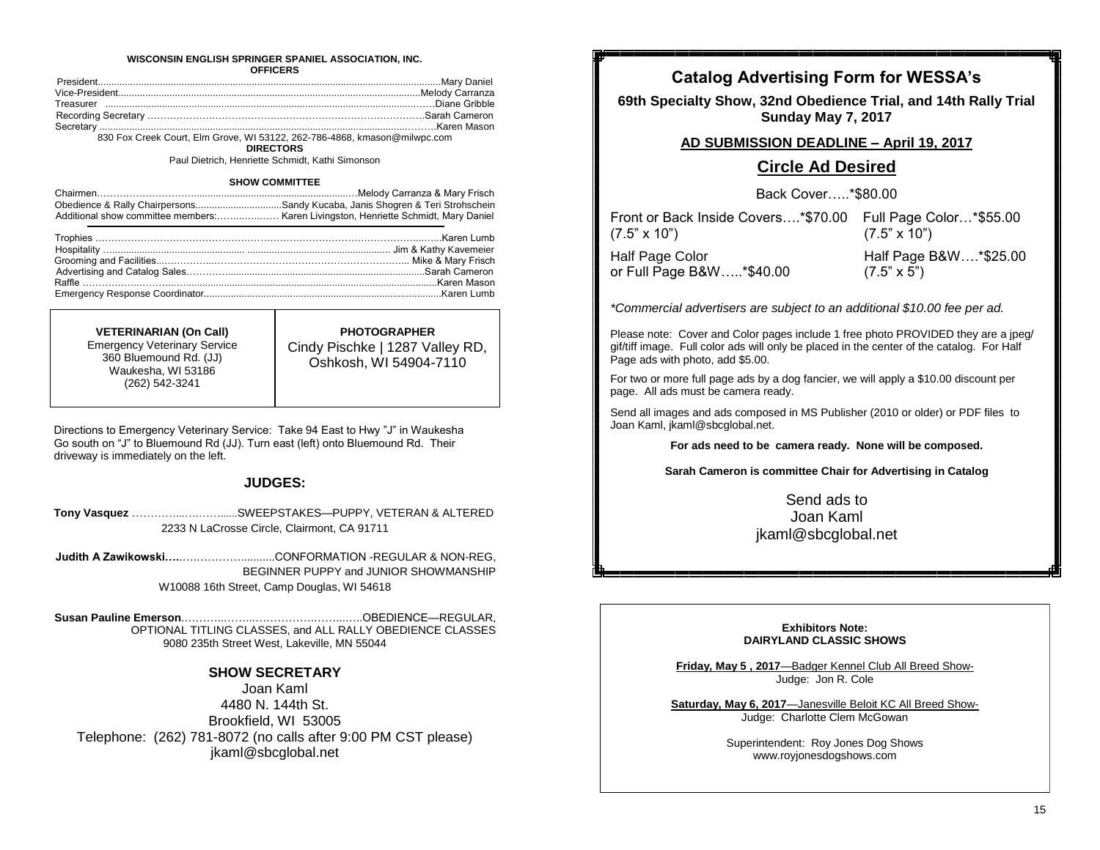#### **WISCONSIN ENGLISH SPRINGER SPANIEL ASSOCIATION, INC. OFFICERS**

830 Fox Creek Court, Elm Grove, WI 53122, 262-786-4868, kmason@milwpc.com

**DIRECTORS**

Paul Dietrich, Henriette Schmidt, Kathi Simonson

#### **SHOW COMMITTEE**

|                                                                                     | Melody Carranza & Mary Frisch |
|-------------------------------------------------------------------------------------|-------------------------------|
| Obedience & Rally ChairpersonsSandy Kucaba, Janis Shogren & Teri Strohschein        |                               |
| Additional show committee members: Karen Livingston, Henriette Schmidt, Mary Daniel |                               |

**VETERINARIAN (On Call)**  Emergency Veterinary Service 360 Bluemound Rd. (JJ) Waukesha, WI 53186 (262) 542-3241

**PHOTOGRAPHER** Cindy Pischke | 1287 Valley RD, Oshkosh, WI 54904-7110

Directions to Emergency Veterinary Service: Take 94 East to Hwy "J" in Waukesha Go south on "J" to Bluemound Rd (JJ). Turn east (left) onto Bluemound Rd. Their driveway is immediately on the left.

## **JUDGES:**

```
Tony Vasquez …………...….……......SWEEPSTAKES—PUPPY, VETERAN & ALTERED 
      2233 N LaCrosse Circle, Clairmont, CA 91711
```
**Judith A Zawikowski….**.….…………...........CONFORMATION -REGULAR & NON-REG, BEGINNER PUPPY and JUNIOR SHOWMANSHIP W10088 16th Street, Camp Douglas, WI 54618

**Susan Pauline Emerson**.………..……...…………….……...…..OBEDIENCE—REGULAR, OPTIONAL TITLING CLASSES, and ALL RALLY OBEDIENCE CLASSES 9080 235th Street West, Lakeville, MN 55044

## **SHOW SECRETARY**

Joan Kaml 4480 N. 144th St. Brookfield, WI 53005 Telephone: (262) 781-8072 (no calls after 9:00 PM CST please) jkaml@sbcglobal.net

# **Catalog Advertising Form for WESSA's**

**69th Specialty Show, 32nd Obedience Trial, and 14th Rally Trial Sunday May 7, 2017** 

## **AD SUBMISSION DEADLINE – April 19, 2017**

# **Circle Ad Desired**

Back Cover…..\*\$80.00

| Front or Back Inside Covers* \$70.00 Full Page Color* \$55.00<br>$(7.5" \times 10")$ | $(7.5" \times 10")$   |
|--------------------------------------------------------------------------------------|-----------------------|
| <b>Half Page Color</b>                                                               | Half Page B&W*\$25.00 |
| or Full Page B&W*\$40.00                                                             | $(7.5" \times 5")$    |

*\*Commercial advertisers are subject to an additional \$10.00 fee per ad.*

Please note: Cover and Color pages include 1 free photo PROVIDED they are a jpeg/ gif/tiff image. Full color ads will only be placed in the center of the catalog. For Half Page ads with photo, add \$5.00.

For two or more full page ads by a dog fancier, we will apply a \$10.00 discount per page. All ads must be camera ready.

Send all images and ads composed in MS Publisher (2010 or older) or PDF files to Joan Kaml, jkaml@sbcglobal.net.

**For ads need to be camera ready. None will be composed.**

**Sarah Cameron is committee Chair for Advertising in Catalog**

Send ads to Joan Kaml jkaml@sbcglobal.net

**Exhibitors Note: DAIRYLAND CLASSIC SHOWS**

**Friday, May 5 , 2017**—Badger Kennel Club All Breed Show-Judge: Jon R. Cole

**Saturday, May 6, 2017**—Janesville Beloit KC All Breed Show-Judge: Charlotte Clem McGowan

> Superintendent: Roy Jones Dog Shows www.royjonesdogshows.com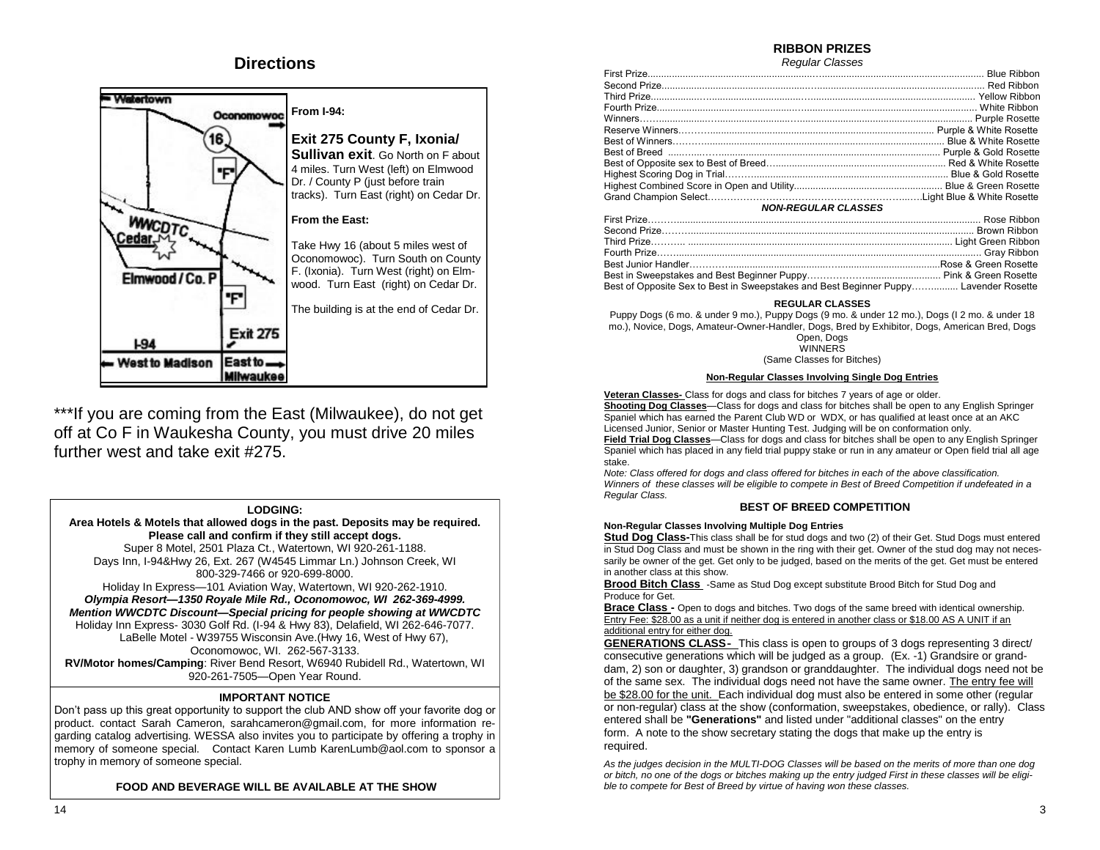# **Directions**



\*\*\*If you are coming from the East (Milwaukee), do not get off at Co F in Waukesha County, you must drive 20 miles further west and take exit #275.

### **LODGING:**

**Area Hotels & Motels that allowed dogs in the past. Deposits may be required. Please call and confirm if they still accept dogs.**  Super 8 Motel, 2501 Plaza Ct., Watertown, WI 920-261-1188.

Days Inn, I-94&Hwy 26, Ext. 267 (W4545 Limmar Ln.) Johnson Creek, WI 800-329-7466 or 920-699-8000.

Holiday In Express—101 Aviation Way, Watertown, WI 920-262-1910.

*Olympia Resort—1350 Royale Mile Rd., Oconomowoc, WI 262-369-4999. Mention WWCDTC Discount—Special pricing for people showing at WWCDTC* Holiday Inn Express- 3030 Golf Rd. (I-94 & Hwy 83), Delafield, WI 262-646-7077.

 LaBelle Motel - W39755 Wisconsin Ave.(Hwy 16, West of Hwy 67), Oconomowoc, WI. 262-567-3133.

**RV/Motor homes/Camping**: River Bend Resort, W6940 Rubidell Rd., Watertown, WI 920-261-7505—Open Year Round.

## **IMPORTANT NOTICE**

Don't pass up this great opportunity to support the club AND show off your favorite dog or product. contact Sarah Cameron, sarahcameron@gmail.com, for more information regarding catalog advertising. WESSA also invites you to participate by offering a trophy in memory of someone special. Contact Karen Lumb KarenLumb@aol.com to sponsor a trophy in memory of someone special.

## **FOOD AND BEVERAGE WILL BE AVAILABLE AT THE SHOW**

# **RIBBON PRIZES**

*Regular Classes*

| וועשעורו דעסטור וואסטריה ווייניה ווייניה ווייניה ווייניה ווייניה ווייניה ווייניה ווייניה ווייניה ווייניה וויינ |  |
|----------------------------------------------------------------------------------------------------------------|--|
|                                                                                                                |  |
|                                                                                                                |  |
|                                                                                                                |  |
|                                                                                                                |  |
|                                                                                                                |  |
| Best of Opposite Sex to Best in Sweepstakes and Best Beginner Puppy Lavender Rosette                           |  |

#### **REGULAR CLASSES**

Puppy Dogs (6 mo. & under 9 mo.), Puppy Dogs (9 mo. & under 12 mo.), Dogs (I 2 mo. & under 18 mo.), Novice, Dogs, Amateur-Owner-Handler, Dogs, Bred by Exhibitor, Dogs, American Bred, Dogs

Open, Dogs **WINNERS** 

## (Same Classes for Bitches)

### **Non-Regular Classes Involving Single Dog Entries**

**Veteran Classes-** Class for dogs and class for bitches 7 years of age or older. **Shooting Dog Classes**—Class for dogs and class for bitches shall be open to any English Springer

Spaniel which has earned the Parent Club WD or WDX, or has qualified at least once at an AKC Licensed Junior, Senior or Master Hunting Test. Judging will be on conformation only.

**Field Trial Dog Classes**—Class for dogs and class for bitches shall be open to any English Springer Spaniel which has placed in any field trial puppy stake or run in any amateur or Open field trial all age stake.

*Note: Class offered for dogs and class offered for bitches in each of the above classification.* 

*Winners of these classes will be eligible to compete in Best of Breed Competition if undefeated in a Regular Class.*

### **BEST OF BREED COMPETITION**

### **Non-Regular Classes Involving Multiple Dog Entries**

**Stud Dog Class-**This class shall be for stud dogs and two (2) of their Get. Stud Dogs must entered in Stud Dog Class and must be shown in the ring with their get. Owner of the stud dog may not necessarily be owner of the get. Get only to be judged, based on the merits of the get. Get must be entered in another class at this show.

**Brood Bitch Class** -Same as Stud Dog except substitute Brood Bitch for Stud Dog and Produce for Get.

**Brace Class -** Open to dogs and bitches. Two dogs of the same breed with identical ownership. Entry Fee: \$28.00 as a unit if neither dog is entered in another class or \$18.00 AS A UNIT if an additional entry for either dog.

**GENERATIONS CLASS-** This class is open to groups of 3 dogs representing 3 direct/ consecutive generations which will be judged as a group. (Ex. -1) Grandsire or granddam, 2) son or daughter, 3) grandson or granddaughter. The individual dogs need not be of the same sex. The individual dogs need not have the same owner. The entry fee will be \$28.00 for the unit. Each individual dog must also be entered in some other (regular or non-regular) class at the show (conformation, sweepstakes, obedience, or rally). Class entered shall be **"Generations"** and listed under "additional classes" on the entry form. A note to the show secretary stating the dogs that make up the entry is required.

*As the judges decision in the MULTI-DOG Classes will be based on the merits of more than one dog or bitch, no one of the dogs or bitches making up the entry judged First in these classes will be eligible to compete for Best of Breed by virtue of having won these classes.*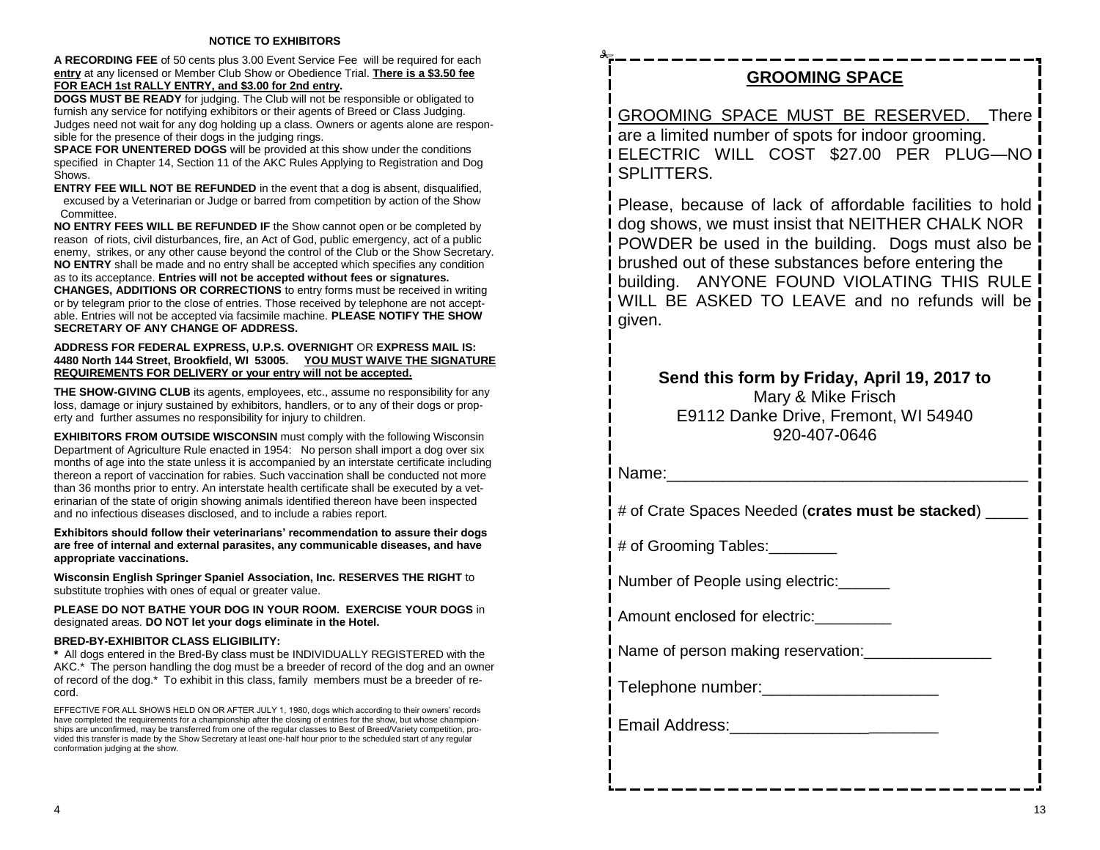**A RECORDING FEE** of 50 cents plus 3.00 Event Service Fee will be required for each **entry** at any licensed or Member Club Show or Obedience Trial. **There is a \$3.50 fee FOR EACH 1st RALLY ENTRY, and \$3.00 for 2nd entry.** 

**DOGS MUST BE READY** for judging. The Club will not be responsible or obligated to furnish any service for notifying exhibitors or their agents of Breed or Class Judging. Judges need not wait for any dog holding up a class. Owners or agents alone are responsible for the presence of their dogs in the judging rings.

**SPACE FOR UNENTERED DOGS** will be provided at this show under the conditions specified in Chapter 14, Section 11 of the AKC Rules Applying to Registration and Dog Shows.

**ENTRY FEE WILL NOT BE REFUNDED** in the event that a dog is absent, disqualified, excused by a Veterinarian or Judge or barred from competition by action of the Show Committee.

**NO ENTRY FEES WILL BE REFUNDED IF** the Show cannot open or be completed by reason of riots, civil disturbances, fire, an Act of God, public emergency, act of a public enemy, strikes, or any other cause beyond the control of the Club or the Show Secretary. **NO ENTRY** shall be made and no entry shall be accepted which specifies any condition

as to its acceptance. **Entries will not be accepted without fees or signatures. CHANGES, ADDITIONS OR CORRECTIONS** to entry forms must be received in writing or by telegram prior to the close of entries. Those received by telephone are not acceptable. Entries will not be accepted via facsimile machine. **PLEASE NOTIFY THE SHOW SECRETARY OF ANY CHANGE OF ADDRESS.**

### **ADDRESS FOR FEDERAL EXPRESS, U.P.S. OVERNIGHT** OR **EXPRESS MAIL IS: 4480 North 144 Street, Brookfield, WI 53005. YOU MUST WAIVE THE SIGNATURE REQUIREMENTS FOR DELIVERY or your entry will not be accepted.**

**THE SHOW-GIVING CLUB** its agents, employees, etc., assume no responsibility for any loss, damage or injury sustained by exhibitors, handlers, or to any of their dogs or property and further assumes no responsibility for injury to children.

**EXHIBITORS FROM OUTSIDE WISCONSIN** must comply with the following Wisconsin Department of Agriculture Rule enacted in 1954: No person shall import a dog over six months of age into the state unless it is accompanied by an interstate certificate including thereon a report of vaccination for rabies. Such vaccination shall be conducted not more than 36 months prior to entry. An interstate health certificate shall be executed by a veterinarian of the state of origin showing animals identified thereon have been inspected and no infectious diseases disclosed, and to include a rabies report.

**Exhibitors should follow their veterinarians' recommendation to assure their dogs are free of internal and external parasites, any communicable diseases, and have appropriate vaccinations.**

**Wisconsin English Springer Spaniel Association, Inc. RESERVES THE RIGHT** to substitute trophies with ones of equal or greater value.

**PLEASE DO NOT BATHE YOUR DOG IN YOUR ROOM. EXERCISE YOUR DOGS** in designated areas. **DO NOT let your dogs eliminate in the Hotel.**

# **BRED-BY-EXHIBITOR CLASS ELIGIBILITY:**

**\*** All dogs entered in the Bred-By class must be INDIVIDUALLY REGISTERED with the AKC.\* The person handling the dog must be a breeder of record of the dog and an owner of record of the dog.\* To exhibit in this class, family members must be a breeder of record.

EFFECTIVE FOR ALL SHOWS HELD ON OR AFTER JULY 1, 1980, dogs which according to their owners' records have completed the requirements for a championship after the closing of entries for the show, but whose championships are unconfirmed, may be transferred from one of the regular classes to Best of Breed/Variety competition, provided this transfer is made by the Show Secretary at least one-half hour prior to the scheduled start of any regular conformation judging at the show.

# **GROOMING SPACE**

GROOMING SPACE MUST BE RESERVED. There are a limited number of spots for indoor grooming. ELECTRIC WILL COST \$27.00 PER PLUG—NO SPI ITTERS.

Please, because of lack of affordable facilities to hold dog shows, we must insist that NEITHER CHALK NOR POWDER be used in the building. Dogs must also be brushed out of these substances before entering the building. ANYONE FOUND VIOLATING THIS RULE WILL BE ASKED TO LEAVE and no refunds will be given.

# **Send this form by Friday, April 19, 2017 to**  Mary & Mike Frisch E9112 Danke Drive, Fremont, WI 54940 920-407-0646

Name:\_\_\_\_\_\_\_\_\_\_\_\_\_\_\_\_\_\_\_\_\_\_\_\_\_\_\_\_\_\_\_\_\_\_\_\_\_\_\_

# of Crate Spaces Needed (**crates must be stacked**) \_\_\_\_\_

# of Grooming Tables:

Number of People using electric:\_\_\_\_\_\_

Amount enclosed for electric:

Name of person making reservation:\_\_\_\_\_\_\_\_\_\_\_\_\_\_\_

Telephone number:

Email Address:\_\_\_\_\_\_\_\_\_\_\_\_\_\_\_\_\_\_\_\_\_\_\_\_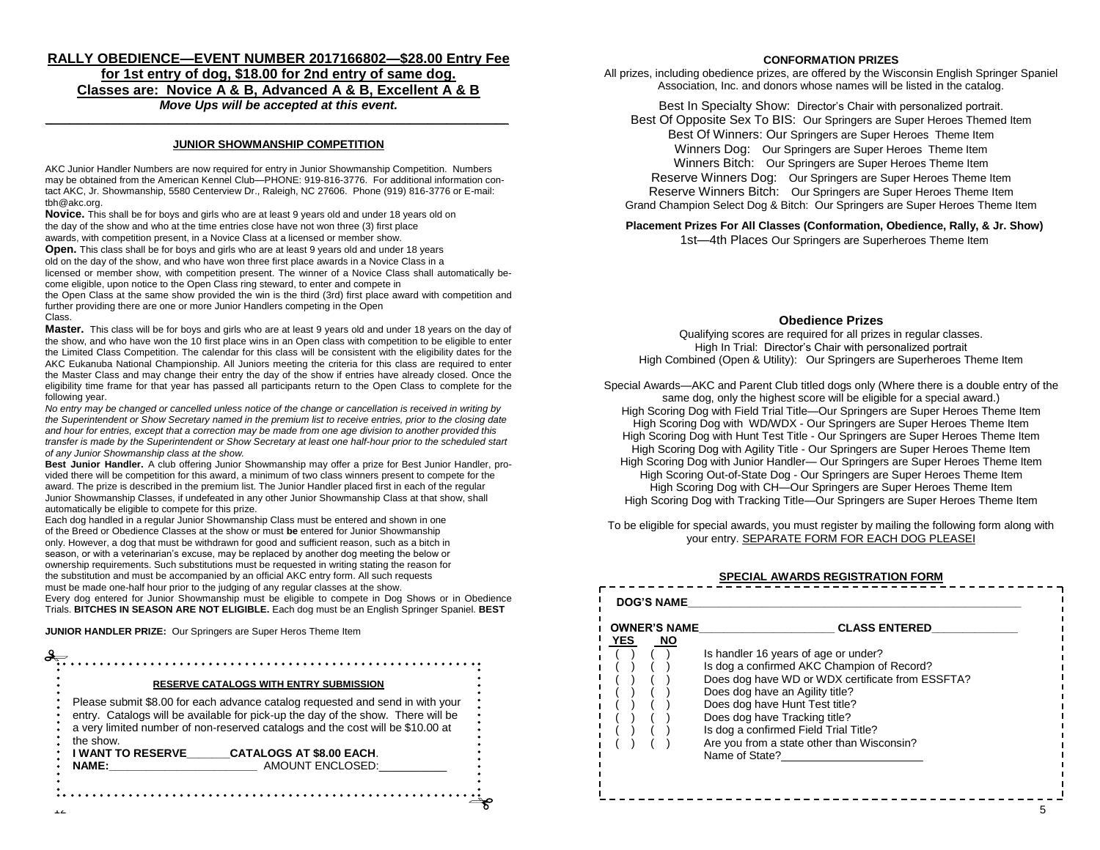## **RALLY OBEDIENCE—EVENT NUMBER 2017166802—\$28.00 Entry Fee for 1st entry of dog, \$18.00 for 2nd entry of same dog. Classes are: Novice A & B, Advanced A & B, Excellent A & B** *Move Ups will be accepted at this event.*

# **\_\_\_\_\_\_\_\_\_\_\_\_\_\_\_\_\_\_\_\_\_\_\_\_\_\_\_\_\_\_\_\_\_\_\_\_\_\_\_\_\_\_\_\_\_\_\_\_\_\_\_\_\_\_\_\_\_\_\_\_\_\_\_\_\_\_\_\_\_\_\_\_\_\_\_ JUNIOR SHOWMANSHIP COMPETITION**

AKC Junior Handler Numbers are now required for entry in Junior Showmanship Competition. Numbers may be obtained from the American Kennel Club—PHONE: 919-816-3776. For additional information contact AKC, Jr. Showmanship, 5580 Centerview Dr., Raleigh, NC 27606. Phone (919) 816-3776 or E-mail: tbh@akc.org.

**Novice.** This shall be for boys and girls who are at least 9 years old and under 18 years old on the day of the show and who at the time entries close have not won three (3) first place awards, with competition present, in a Novice Class at a licensed or member show.

**Open.** This class shall be for boys and girls who are at least 9 years old and under 18 years old on the day of the show, and who have won three first place awards in a Novice Class in a licensed or member show, with competition present. The winner of a Novice Class shall automatically become eligible, upon notice to the Open Class ring steward, to enter and compete in

the Open Class at the same show provided the win is the third (3rd) first place award with competition and further providing there are one or more Junior Handlers competing in the Open Class.

**Master.** This class will be for boys and girls who are at least 9 years old and under 18 years on the day of the show, and who have won the 10 first place wins in an Open class with competition to be eligible to enter the Limited Class Competition. The calendar for this class will be consistent with the eligibility dates for the AKC Eukanuba National Championship. All Juniors meeting the criteria for this class are required to enter the Master Class and may change their entry the day of the show if entries have already closed. Once the eligibility time frame for that year has passed all participants return to the Open Class to complete for the following year.

*No entry may be changed or cancelled unless notice of the change or cancellation is received in writing by the Superintendent or Show Secretary named in the premium list to receive entries, prior to the closing date and hour for entries, except that a correction may be made from one age division to another provided this transfer is made by the Superintendent or Show Secretary at least one half-hour prior to the scheduled start of any Junior Showmanship class at the show.*

**Best Junior Handler.** A club offering Junior Showmanship may offer a prize for Best Junior Handler, provided there will be competition for this award, a minimum of two class winners present to compete for the award. The prize is described in the premium list. The Junior Handler placed first in each of the regular Junior Showmanship Classes, if undefeated in any other Junior Showmanship Class at that show, shall automatically be eligible to compete for this prize.

Each dog handled in a regular Junior Showmanship Class must be entered and shown in one of the Breed or Obedience Classes at the show or must **be** entered for Junior Showmanship only. However, a dog that must be withdrawn for good and sufficient reason, such as a bitch in season, or with a veterinarian's excuse, may be replaced by another dog meeting the below or ownership requirements. Such substitutions must be requested in writing stating the reason for the substitution and must be accompanied by an official AKC entry form. All such requests must be made one-half hour prior to the judging of any regular classes at the show.

Every dog entered for Junior Showmanship must be eligible to compete in Dog Shows or in Obedience Trials. **BITCHES IN SEASON ARE NOT ELIGIBLE.** Each dog must be an English Springer Spaniel. **BEST** 

**JUNIOR HANDLER PRIZE:** Our Springers are Super Heros Theme Item

|                                                                                                                                                                                                                                                                  | <b>RESERVE CATALOGS WITH ENTRY SUBMISSION</b> |
|------------------------------------------------------------------------------------------------------------------------------------------------------------------------------------------------------------------------------------------------------------------|-----------------------------------------------|
| Please submit \$8.00 for each advance catalog requested and send in with your<br>entry. Catalogs will be available for pick-up the day of the show. There will be<br>a very limited number of non-reserved catalogs and the cost will be \$10.00 at<br>the show. |                                               |
| I WANT TO RESERVE                                                                                                                                                                                                                                                | <b>CATALOGS AT \$8.00 EACH.</b>               |
| <b>NAME:</b>                                                                                                                                                                                                                                                     | AMOUNT ENCLOSED:                              |

### **CONFORMATION PRIZES**

All prizes, including obedience prizes, are offered by the Wisconsin English Springer Spaniel Association, Inc. and donors whose names will be listed in the catalog.

Best In Specialty Show: Director's Chair with personalized portrait.

Best Of Opposite Sex To BIS: Our Springers are Super Heroes Themed Item Best Of Winners: Our Springers are Super Heroes Theme Item Winners Dog: Our Springers are Super Heroes Theme Item Winners Bitch: Our Springers are Super Heroes Theme Item Reserve Winners Dog: Our Springers are Super Heroes Theme Item Reserve Winners Bitch: Our Springers are Super Heroes Theme Item Grand Champion Select Dog & Bitch: Our Springers are Super Heroes Theme Item

**Placement Prizes For All Classes (Conformation, Obedience, Rally, & Jr. Show)** 1st—4th Places Our Springers are Superheroes Theme Item

### **Obedience Prizes**

Qualifying scores are required for all prizes in regular classes. High In Trial: Director's Chair with personalized portrait High Combined (Open & Utility): Our Springers are Superheroes Theme Item

Special Awards—AKC and Parent Club titled dogs only (Where there is a double entry of the same dog, only the highest score will be eligible for a special award.) High Scoring Dog with Field Trial Title—Our Springers are Super Heroes Theme Item High Scoring Dog with WD/WDX - Our Springers are Super Heroes Theme Item High Scoring Dog with Hunt Test Title - Our Springers are Super Heroes Theme Item High Scoring Dog with Agility Title - Our Springers are Super Heroes Theme Item High Scoring Dog with Junior Handler— Our Springers are Super Heroes Theme Item High Scoring Out-of-State Dog - Our Springers are Super Heroes Theme Item High Scoring Dog with CH-Our Springers are Super Heroes Theme Item High Scoring Dog with Tracking Title—Our Springers are Super Heroes Theme Item

To be eligible for special awards, you must register by mailing the following form along with your entry. SEPARATE FORM FOR EACH DOG PLEASEI

### **SPECIAL AWARDS REGISTRATION FORM**

|      | <b>OWNER'S NAME</b> | <b>CLASS ENTERED</b>                             |
|------|---------------------|--------------------------------------------------|
| YES. | <b>NO</b>           |                                                  |
|      |                     | Is handler 16 years of age or under?             |
|      |                     | Is dog a confirmed AKC Champion of Record?       |
|      |                     | Does dog have WD or WDX certificate from ESSFTA? |
|      |                     | Does dog have an Agility title?                  |
|      |                     | Does dog have Hunt Test title?                   |
|      |                     | Does dog have Tracking title?                    |
|      |                     | Is dog a confirmed Field Trial Title?            |
|      |                     | Are you from a state other than Wisconsin?       |
|      |                     | Name of State?                                   |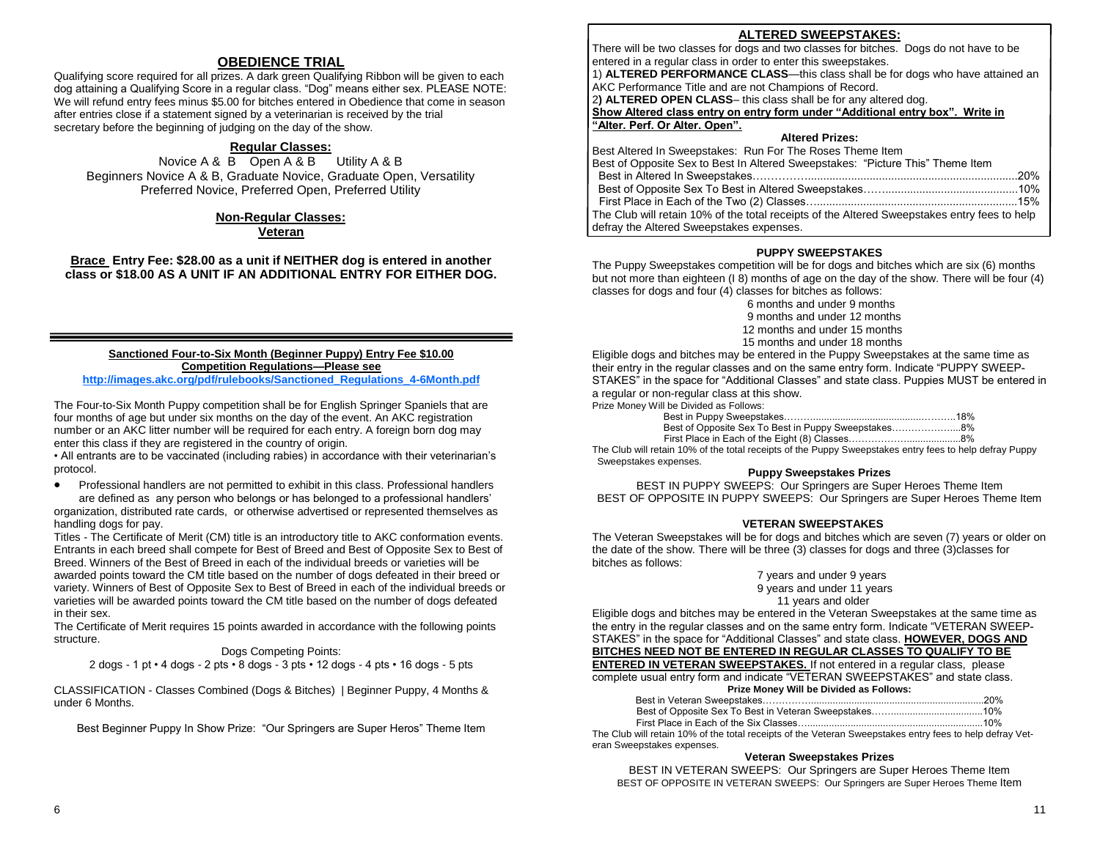# **OBEDIENCE TRIAL**

Qualifying score required for all prizes. A dark green Qualifying Ribbon will be given to each dog attaining a Qualifying Score in a regular class. "Dog" means either sex. PLEASE NOTE: We will refund entry fees minus \$5.00 for bitches entered in Obedience that come in season after entries close if a statement signed by a veterinarian is received by the trial secretary before the beginning of judging on the day of the show.

## **Regular Classes:**

Novice A & B Open A & B Utility A & B Beginners Novice A & B, Graduate Novice, Graduate Open, Versatility Preferred Novice, Preferred Open, Preferred Utility

### **Non-Regular Classes: Veteran**

**Brace Entry Fee: \$28.00 as a unit if NEITHER dog is entered in another class or \$18.00 AS A UNIT IF AN ADDITIONAL ENTRY FOR EITHER DOG.**

#### **Sanctioned Four-to-Six Month (Beginner Puppy) Entry Fee \$10.00 Competition Regulations—Please see [http://images.akc.org/pdf/rulebooks/Sanctioned\\_Regulations\\_4-6Month.pdf](http://images.akc.org/pdf/rulebooks/Sanctioned_Regulations_4-6Month.pdf)**

The Four-to-Six Month Puppy competition shall be for English Springer Spaniels that are four months of age but under six months on the day of the event. An AKC registration number or an AKC litter number will be required for each entry. A foreign born dog may enter this class if they are registered in the country of origin.

• All entrants are to be vaccinated (including rabies) in accordance with their veterinarian's protocol.

 Professional handlers are not permitted to exhibit in this class. Professional handlers are defined as any person who belongs or has belonged to a professional handlers'

organization, distributed rate cards, or otherwise advertised or represented themselves as handling dogs for pay.

Titles - The Certificate of Merit (CM) title is an introductory title to AKC conformation events. Entrants in each breed shall compete for Best of Breed and Best of Opposite Sex to Best of Breed. Winners of the Best of Breed in each of the individual breeds or varieties will be awarded points toward the CM title based on the number of dogs defeated in their breed or variety. Winners of Best of Opposite Sex to Best of Breed in each of the individual breeds or varieties will be awarded points toward the CM title based on the number of dogs defeated in their sex.

The Certificate of Merit requires 15 points awarded in accordance with the following points structure.

## Dogs Competing Points:

2 dogs - 1 pt • 4 dogs - 2 pts • 8 dogs - 3 pts • 12 dogs - 4 pts • 16 dogs - 5 pts

CLASSIFICATION - Classes Combined (Dogs & Bitches) | Beginner Puppy, 4 Months & under 6 Months.

Best Beginner Puppy In Show Prize: "Our Springers are Super Heros" Theme Item

## **ALTERED SWEEPSTAKES:**

There will be two classes for dogs and two classes for bitches. Dogs do not have to be entered in a regular class in order to enter this sweepstakes.

1) **ALTERED PERFORMANCE CLASS**—this class shall be for dogs who have attained an AKC Performance Title and are not Champions of Record.

2**) ALTERED OPEN CLASS**– this class shall be for any altered dog.

Show Altered class entry on entry form under "Additional entry box". Write in **―Alter. Perf. Or Alter. Open‖.**

### **Altered Prizes:**

| Best Altered In Sweepstakes: Run For The Roses Theme Item                                    |  |
|----------------------------------------------------------------------------------------------|--|
| Best of Opposite Sex to Best In Altered Sweepstakes: "Picture This" Theme Item               |  |
|                                                                                              |  |
|                                                                                              |  |
|                                                                                              |  |
| The Club will retain 10% of the total receipts of the Altered Sweepstakes entry fees to help |  |
| defray the Altered Sweepstakes expenses.                                                     |  |

### **PUPPY SWEEPSTAKES**

The Puppy Sweepstakes competition will be for dogs and bitches which are six (6) months but not more than eighteen (I 8) months of age on the day of the show. There will be four (4) classes for dogs and four (4) classes for bitches as follows:

6 months and under 9 months 9 months and under 12 months 12 months and under 15 months 15 months and under 18 months

Eligible dogs and bitches may be entered in the Puppy Sweepstakes at the same time as their entry in the regular classes and on the same entry form. Indicate "PUPPY SWEEP-STAKES<sup>®</sup> in the space for "Additional Classes" and state class. Puppies MUST be entered in a regular or non-regular class at this show.

Prize Money Will be Divided as Follows:

| Best of Opposite Sex To Best in Puppy Sweepstakes8% |  |
|-----------------------------------------------------|--|
|                                                     |  |

The Club will retain 10% of the total receipts of the Puppy Sweepstakes entry fees to help defray Puppy Sweepstakes expenses.

### **Puppy Sweepstakes Prizes**

BEST IN PUPPY SWEEPS: Our Springers are Super Heroes Theme Item BEST OF OPPOSITE IN PUPPY SWEEPS: Our Springers are Super Heroes Theme Item

### **VETERAN SWEEPSTAKES**

The Veteran Sweepstakes will be for dogs and bitches which are seven (7) years or older on the date of the show. There will be three (3) classes for dogs and three (3)classes for bitches as follows:

#### 7 years and under 9 years 9 years and under 11 years 11 years and older

Eligible dogs and bitches may be entered in the Veteran Sweepstakes at the same time as the entry in the regular classes and on the same entry form. Indicate "VETERAN SWEEP-STAKES" in the space for "Additional Classes" and state class. **HOWEVER, DOGS AND BITCHES NEED NOT BE ENTERED IN REGULAR CLASSES TO QUALIFY TO BE ENTERED IN VETERAN SWEEPSTAKES.** If not entered in a regular class, please

complete usual entry form and indicate "VETERAN SWEEPSTAKES" and state class. **Prize Money Will be Divided as Follows:**

| <b>THE MONEY THIS DE DIVIDED AS FOROWS.</b> |  |
|---------------------------------------------|--|
|                                             |  |
|                                             |  |
|                                             |  |

The Club will retain 10% of the total receipts of the Veteran Sweepstakes entry fees to help defray Veteran Sweepstakes expenses.

## **Veteran Sweepstakes Prizes**

BEST IN VETERAN SWEEPS: Our Springers are Super Heroes Theme Item BEST OF OPPOSITE IN VETERAN SWEEPS: Our Springers are Super Heroes Theme Item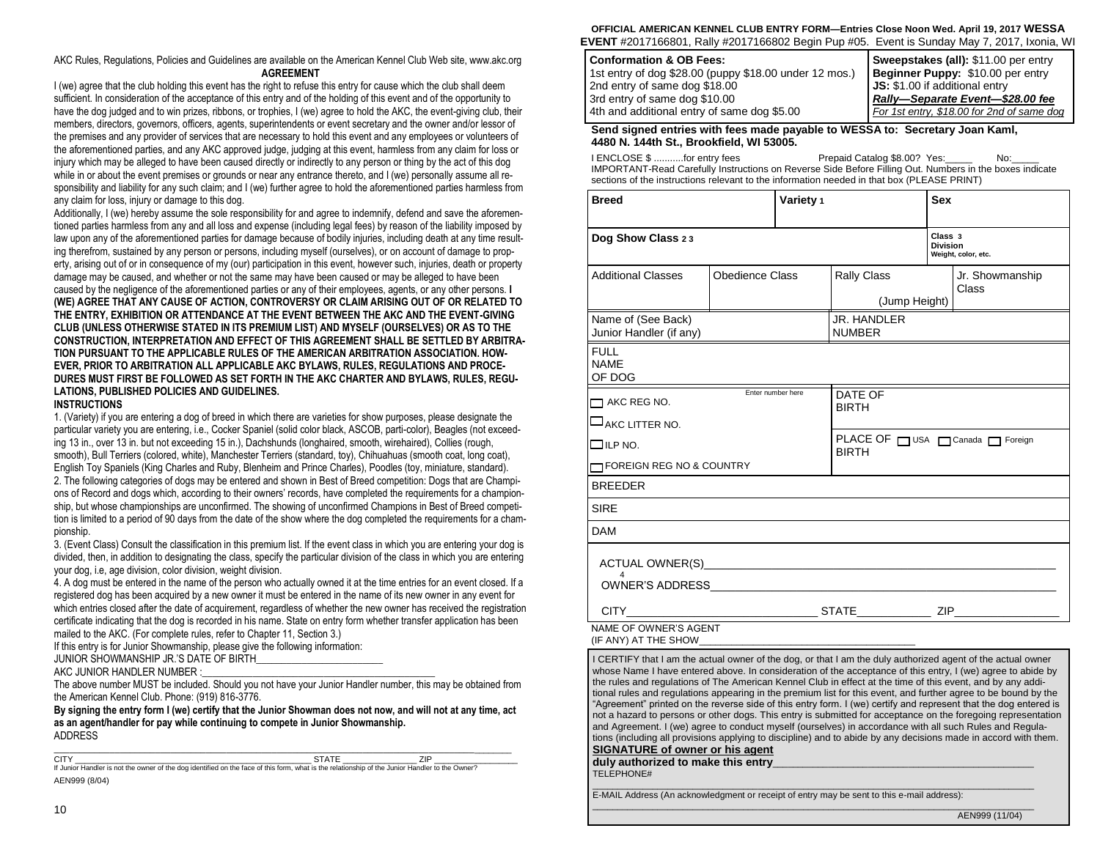AKC Rules, Regulations, Policies and Guidelines are available on the American Kennel Club Web site, www.akc.org **AGREEMENT**

I (we) agree that the club holding this event has the right to refuse this entry for cause which the club shall deem sufficient. In consideration of the acceptance of this entry and of the holding of this event and of the opportunity to have the dog judged and to win prizes, ribbons, or trophies, I (we) agree to hold the AKC, the event-giving club, their members, directors, governors, officers, agents, superintendents or event secretary and the owner and/or lessor of the premises and any provider of services that are necessary to hold this event and any employees or volunteers of the aforementioned parties, and any AKC approved judge, judging at this event, harmless from any claim for loss or injury which may be alleged to have been caused directly or indirectly to any person or thing by the act of this dog while in or about the event premises or grounds or near any entrance thereto, and I (we) personally assume all responsibility and liability for any such claim; and I (we) further agree to hold the aforementioned parties harmless from any claim for loss, injury or damage to this dog.

Additionally, I (we) hereby assume the sole responsibility for and agree to indemnify, defend and save the aforementioned parties harmless from any and all loss and expense (including legal fees) by reason of the liability imposed by law upon any of the aforementioned parties for damage because of bodily injuries, including death at any time resulting therefrom, sustained by any person or persons, including myself (ourselves), or on account of damage to property, arising out of or in consequence of my (our) participation in this event, however such, injuries, death or property damage may be caused, and whether or not the same may have been caused or may be alleged to have been caused by the negligence of the aforementioned parties or any of their employees, agents, or any other persons. **I (WE) AGREE THAT ANY CAUSE OF ACTION, CONTROVERSY OR CLAIM ARISING OUT OF OR RELATED TO THE ENTRY, EXHIBITION OR ATTENDANCE AT THE EVENT BETWEEN THE AKC AND THE EVENT-GIVING CLUB (UNLESS OTHERWISE STATED IN ITS PREMIUM LIST) AND MYSELF (OURSELVES) OR AS TO THE CONSTRUCTION, INTERPRETATION AND EFFECT OF THIS AGREEMENT SHALL BE SETTLED BY ARBITRA-TION PURSUANT TO THE APPLICABLE RULES OF THE AMERICAN ARBITRATION ASSOCIATION. HOW-EVER, PRIOR TO ARBITRATION ALL APPLICABLE AKC BYLAWS, RULES, REGULATIONS AND PROCE-DURES MUST FIRST BE FOLLOWED AS SET FORTH IN THE AKC CHARTER AND BYLAWS, RULES, REGU-LATIONS, PUBLISHED POLICIES AND GUIDELINES.** 

#### **INSTRUCTIONS**

1. (Variety) if you are entering a dog of breed in which there are varieties for show purposes, please designate the particular variety you are entering, i.e., Cocker Spaniel (solid color black, ASCOB, parti-color), Beagles (not exceeding 13 in., over 13 in. but not exceeding 15 in.), Dachshunds (longhaired, smooth, wirehaired), Collies (rough, smooth), Bull Terriers (colored, white), Manchester Terriers (standard, toy), Chihuahuas (smooth coat, long coat), English Toy Spaniels (King Charles and Ruby, Blenheim and Prince Charles), Poodles (toy, miniature, standard). 2. The following categories of dogs may be entered and shown in Best of Breed competition: Dogs that are Champions of Record and dogs which, according to their owners' records, have completed the requirements for a championship, but whose championships are unconfirmed. The showing of unconfirmed Champions in Best of Breed competition is limited to a period of 90 days from the date of the show where the dog completed the requirements for a championship.

3. (Event Class) Consult the classification in this premium list. If the event class in which you are entering your dog is divided, then, in addition to designating the class, specify the particular division of the class in which you are entering your dog, i.e, age division, color division, weight division.

4. A dog must be entered in the name of the person who actually owned it at the time entries for an event closed. If a registered dog has been acquired by a new owner it must be entered in the name of its new owner in any event for which entries closed after the date of acquirement, regardless of whether the new owner has received the registration certificate indicating that the dog is recorded in his name. State on entry form whether transfer application has been mailed to the AKC. (For complete rules, refer to Chapter 11, Section 3.)

If this entry is for Junior Showmanship, please give the following information:

JUNIOR SHOWMANSHIP JR.'S DATE OF BIRTH

AKC JUNIOR HANDLER NUMBER :

The above number MUST be included. Should you not have your Junior Handler number, this may be obtained from the American Kennel Club. Phone: (919) 816-3776.

**By signing the entry form I (we) certify that the Junior Showman does not now, and will not at any time, act as an agent/handler for pay while continuing to compete in Junior Showmanship.** ADDRESS \_\_\_\_\_\_\_\_\_\_\_\_\_\_\_\_\_\_\_\_\_\_\_\_\_\_\_\_\_\_\_\_\_\_\_\_\_\_\_\_\_\_\_\_\_\_\_\_\_\_\_\_\_\_\_\_\_\_\_\_\_\_\_\_\_\_\_\_\_\_\_\_\_\_\_\_\_\_\_\_\_\_\_\_\_\_\_\_\_\_\_

CITY \_\_\_\_\_\_\_\_\_\_\_\_\_\_\_\_\_\_\_\_\_\_\_\_\_\_\_\_\_\_\_\_\_\_\_\_\_\_\_\_\_\_\_\_\_\_\_\_\_\_\_ STATE \_\_\_\_\_\_\_\_\_\_\_\_\_\_\_\_ ZIP \_\_\_\_\_\_\_\_\_\_\_\_\_\_\_\_\_\_ If Junior Handler is not the owner of the dog identified on the face of this form, what is the relationship of the Junior Handler to the Owner? AEN999 (8/04)

**OFFICIAL AMERICAN KENNEL CLUB ENTRY FORM—Entries Close Noon Wed. April 19, 2017 WESSA EVENT** #2017166801, Rally #2017166802 Begin Pup #05. Event is Sunday May 7, 2017, Ixonia, WI

| <b>Conformation &amp; OB Fees:</b>                     | Sweepstakes (all): \$11.00 per entry       |
|--------------------------------------------------------|--------------------------------------------|
| 1st entry of dog \$28.00 (puppy \$18.00 under 12 mos.) | Beginner Puppy: \$10.00 per entry          |
| 2nd entry of same dog \$18.00                          | JS: \$1.00 if additional entry             |
| 3rd entry of same dog \$10.00                          | Rally-Separate Event-\$28.00 fee           |
| 4th and additional entry of same dog \$5.00            | For 1st entry, \$18.00 for 2nd of same dog |

**Send signed entries with fees made payable to WESSA to: Secretary Joan Kaml, 4480 N. 144th St., Brookfield, WI 53005.**

I ENCLOSE \$ ...........for entry fees Prepaid Catalog \$8.00? Yes:\_\_\_\_\_ No:\_\_\_\_\_ IMPORTANT-Read Carefully Instructions on Reverse Side Before Filling Out. Numbers in the boxes indicate sections of the instructions relevant to the information needed in that box (PLEASE PRINT)

| <b>Breed</b>                                                                                                   |                 | Variety 1 |                                               | <b>Sex</b>                                        |                          |
|----------------------------------------------------------------------------------------------------------------|-----------------|-----------|-----------------------------------------------|---------------------------------------------------|--------------------------|
| Dog Show Class 23                                                                                              |                 |           |                                               | Class 3<br><b>Division</b><br>Weight, color, etc. |                          |
| <b>Additional Classes</b>                                                                                      | Obedience Class |           | <b>Rally Class</b><br>(Jump Height)           |                                                   | Jr. Showmanship<br>Class |
| Name of (See Back)<br>Junior Handler (if any)                                                                  |                 |           | JR. HANDLER<br><b>NUMBER</b>                  |                                                   |                          |
| <b>FULL</b><br><b>NAMF</b><br>OF DOG                                                                           |                 |           |                                               |                                                   |                          |
| Enter number here<br>$\Box$ AKC REG NO.                                                                        |                 |           | DATE OF<br><b>BIRTH</b>                       |                                                   |                          |
| AKC LITTER NO.                                                                                                 |                 |           |                                               |                                                   |                          |
| $\Box$ ilp no.                                                                                                 |                 |           | PLACE OF USA Canada C Foreign<br><b>BIRTH</b> |                                                   |                          |
| TIFOREIGN REG NO & COUNTRY                                                                                     |                 |           |                                               |                                                   |                          |
| <b>BREEDER</b>                                                                                                 |                 |           |                                               |                                                   |                          |
| <b>SIRE</b>                                                                                                    |                 |           |                                               |                                                   |                          |
| <b>DAM</b>                                                                                                     |                 |           |                                               |                                                   |                          |
| ACTUAL OWNER(S) ACTUAL AND ACTUAL ACTUAL ACTUAL ACTUAL ACTUAL ACTUAL ACTUAL ACTUAL ACTUAL ACTUAL ACTUAL ACTUAL |                 |           |                                               |                                                   |                          |
| <b>CITY</b><br><b>STATE</b>                                                                                    |                 |           |                                               |                                                   | ZIP                      |
| NAME OF OWNER'S AGENT                                                                                          |                 |           |                                               |                                                   |                          |

(IF ANY) AT THE SHOW

I CERTIFY that I am the actual owner of the dog, or that I am the duly authorized agent of the actual owner whose Name I have entered above. In consideration of the acceptance of this entry, I (we) agree to abide by the rules and regulations of The American Kennel Club in effect at the time of this event, and by any additional rules and regulations appearing in the premium list for this event, and further agree to be bound by the "Agreement" printed on the reverse side of this entry form. I (we) certify and represent that the dog entered is not a hazard to persons or other dogs. This entry is submitted for acceptance on the foregoing representation and Agreement. I (we) agree to conduct myself (ourselves) in accordance with all such Rules and Regulations (including all provisions applying to discipline) and to abide by any decisions made in accord with them.

 $\_$  . The contribution of the contribution of the contribution of the contribution of  $\mathcal{L}_\text{max}$ 

\_\_\_\_\_\_\_\_\_\_\_\_\_\_\_\_\_\_\_\_\_\_\_\_\_\_\_\_\_\_\_\_\_\_\_\_\_\_\_\_\_\_\_\_\_\_\_\_\_\_\_\_\_\_\_\_\_\_\_\_\_\_\_\_\_\_\_\_\_\_\_\_\_\_\_\_\_\_\_\_\_\_\_\_\_\_\_\_

## **SIGNATURE of owner or his agent**

duly authorized to make this entry TELEPHONE#

E-MAIL Address (An acknowledgment or receipt of entry may be sent to this e-mail address):